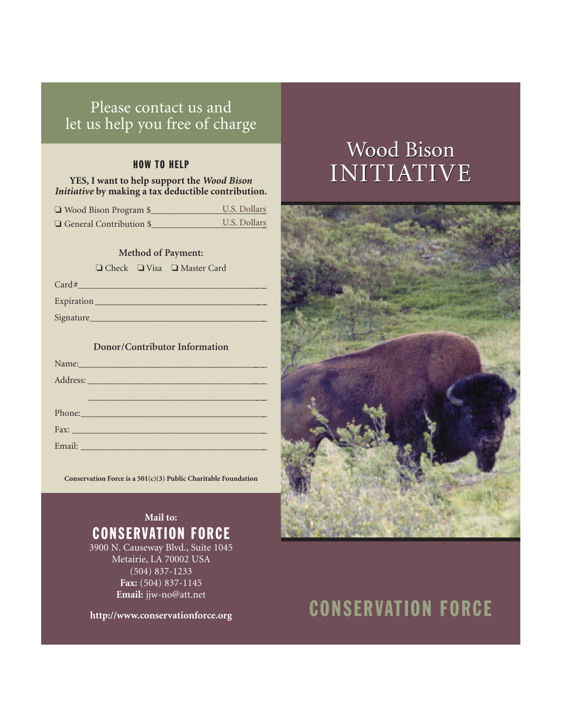## Please contact us and let us help you free of charge

#### HOW TO HELP

#### **YES, I want to help support the** *Wood Bison Initiative* **by making a tax deductible contribution.**

| $\Box$ Wood Bison Program \$   | U.S. Dollars |
|--------------------------------|--------------|
| $\Box$ General Contribution \$ | U.S. Dollars |

#### **Method of Payment:**

❏ Check ❏ Visa ❏ Master Card

 $Card#$ 

Expiration \_\_\_\_\_\_\_\_\_\_\_\_\_\_\_\_\_\_\_\_\_\_\_\_\_\_\_\_\_\_\_\_\_\_\_\_\_\_\_

Signature\_\_\_\_\_\_\_\_\_\_\_\_\_\_\_\_\_\_\_\_\_\_\_\_\_\_\_\_\_\_\_\_\_\_\_\_\_\_\_

#### **Donor/Contributor Information**

| Name: Name        |
|-------------------|
| Address: No. 1998 |
|                   |
| Phone: 2008       |
|                   |
|                   |

**Conservation Force is a 501(c)(3) Public Charitable Foundation**

### **Mail to:** CONSERVATION FORCE

3900 N. Causeway Blvd., Suite 1045 Metairie, LA 70002 USA (504) 837-1233 **Fax:** (504) 837-1145 **Email:** jjw-no@att.net

**http://www.conservationforce.org**

## Wood Bison INITIATIVE INITIATIVE



# CONSERVATION FORCE